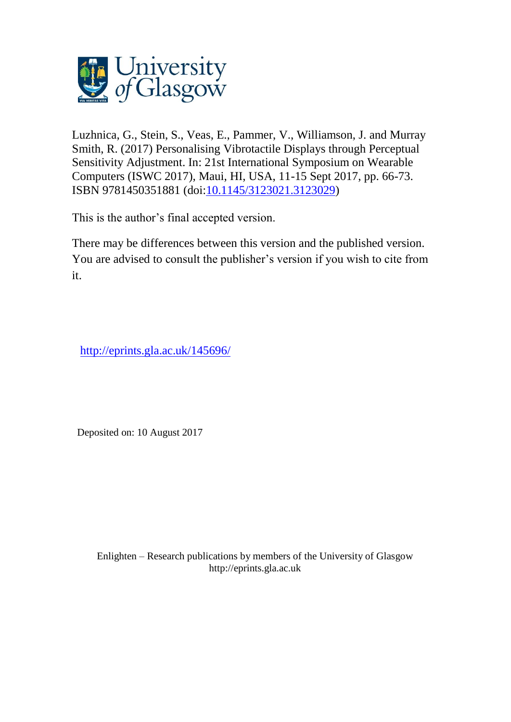

Luzhnica, G., Stein, S., Veas, E., Pammer, V., Williamson, J. and Murray Smith, R. (2017) Personalising Vibrotactile Displays through Perceptual Sensitivity Adjustment. In: 21st International Symposium on Wearable Computers (ISWC 2017), Maui, HI, USA, 11-15 Sept 2017, pp. 66-73. ISBN 9781450351881 (doi[:10.1145/3123021.3123029\)](http://dx.doi.org/10.1145/3123021.3123029)

This is the author's final accepted version.

There may be differences between this version and the published version. You are advised to consult the publisher's version if you wish to cite from it.

<http://eprints.gla.ac.uk/145696/>

Deposited on: 10 August 2017

Enlighten – Research publications by members of the University of Glasgo[w](http://eprints.gla.ac.uk/) [http://eprints.gla.ac.uk](http://eprints.gla.ac.uk/)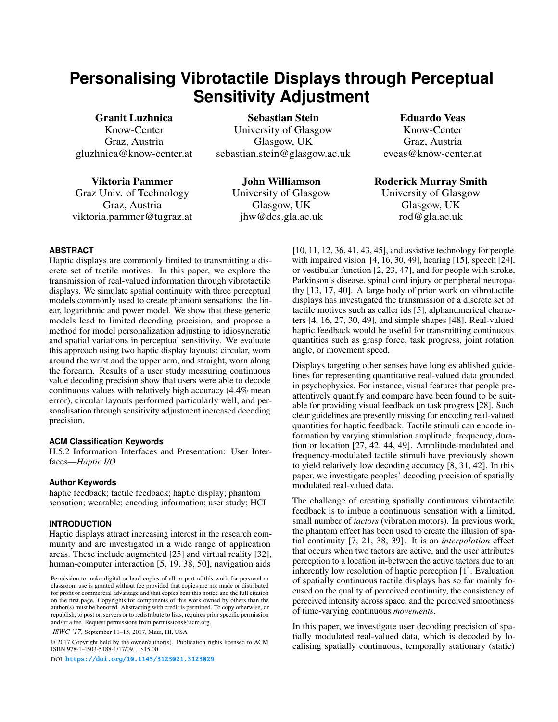# **Personalising Vibrotactile Displays through Perceptual Sensitivity Adjustment**

Granit Luzhnica Know-Center Graz, Austria gluzhnica@know-center.at

Viktoria Pammer Graz Univ. of Technology Graz, Austria viktoria.pammer@tugraz.at

Sebastian Stein University of Glasgow Glasgow, UK sebastian.stein@glasgow.ac.uk

> John Williamson University of Glasgow Glasgow, UK jhw@dcs.gla.ac.uk

Eduardo Veas Know-Center Graz, Austria eveas@know-center.at

Roderick Murray Smith

University of Glasgow Glasgow, UK rod@gla.ac.uk

# **ABSTRACT**

Haptic displays are commonly limited to transmitting a discrete set of tactile motives. In this paper, we explore the transmission of real-valued information through vibrotactile displays. We simulate spatial continuity with three perceptual models commonly used to create phantom sensations: the linear, logarithmic and power model. We show that these generic models lead to limited decoding precision, and propose a method for model personalization adjusting to idiosyncratic and spatial variations in perceptual sensitivity. We evaluate this approach using two haptic display layouts: circular, worn around the wrist and the upper arm, and straight, worn along the forearm. Results of a user study measuring continuous value decoding precision show that users were able to decode continuous values with relatively high accuracy (4.4% mean error), circular layouts performed particularly well, and personalisation through sensitivity adjustment increased decoding precision.

## **ACM Classification Keywords**

H.5.2 Information Interfaces and Presentation: User Interfaces—*Haptic I/O*

## **Author Keywords**

haptic feedback; tactile feedback; haptic display; phantom sensation; wearable; encoding information; user study; HCI

## **INTRODUCTION**

Haptic displays attract increasing interest in the research community and are investigated in a wide range of application areas. These include augmented [\[25\]](#page-8-0) and virtual reality [\[32\]](#page-8-1), human-computer interaction [\[5,](#page-8-2) [19,](#page-8-3) [38,](#page-8-4) [50\]](#page-8-5), navigation aids

*ISWC '17,* September 11–15, 2017, Maui, HI, USA

© 2017 Copyright held by the owner/author(s). Publication rights licensed to ACM. ISBN 978-1-4503-5188-1/17/09. . . \$15.00

DOI: <https://doi.org/10.1145/3123021.3123029>

[\[10,](#page-8-6) [11,](#page-8-7) [12,](#page-8-8) [36,](#page-8-9) [41,](#page-8-10) [43,](#page-8-11) [45\]](#page-8-12), and assistive technology for people with impaired vision [\[4,](#page-7-0) [16,](#page-8-13) [30,](#page-8-14) [49\]](#page-8-15), hearing [\[15\]](#page-8-16), speech [\[24\]](#page-8-17), or vestibular function [\[2,](#page-7-1) [23,](#page-8-18) [47\]](#page-8-19), and for people with stroke, Parkinson's disease, spinal cord injury or peripheral neuropathy [\[13,](#page-8-20) [17,](#page-8-21) [40\]](#page-8-22). A large body of prior work on vibrotactile displays has investigated the transmission of a discrete set of tactile motives such as caller ids [\[5\]](#page-8-2), alphanumerical characters [\[4,](#page-7-0) [16,](#page-8-13) [27,](#page-8-23) [30,](#page-8-14) [49\]](#page-8-15), and simple shapes [\[48\]](#page-8-24). Real-valued haptic feedback would be useful for transmitting continuous quantities such as grasp force, task progress, joint rotation angle, or movement speed.

Displays targeting other senses have long established guidelines for representing quantitative real-valued data grounded in psychophysics. For instance, visual features that people preattentively quantify and compare have been found to be suitable for providing visual feedback on task progress [\[28\]](#page-8-25). Such clear guidelines are presently missing for encoding real-valued quantities for haptic feedback. Tactile stimuli can encode information by varying stimulation amplitude, frequency, duration or location [\[27,](#page-8-23) [42,](#page-8-26) [44,](#page-8-27) [49\]](#page-8-15). Amplitude-modulated and frequency-modulated tactile stimuli have previously shown to yield relatively low decoding accuracy [\[8,](#page-8-28) [31,](#page-8-29) [42\]](#page-8-26). In this paper, we investigate peoples' decoding precision of spatially modulated real-valued data.

The challenge of creating spatially continuous vibrotactile feedback is to imbue a continuous sensation with a limited, small number of *tactors* (vibration motors). In previous work, the phantom effect has been used to create the illusion of spatial continuity [\[7,](#page-8-30) [21,](#page-8-31) [38,](#page-8-4) [39\]](#page-8-32). It is an *interpolation* effect that occurs when two tactors are active, and the user attributes perception to a location in-between the active tactors due to an inherently low resolution of haptic perception [\[1\]](#page-7-2). Evaluation of spatially continuous tactile displays has so far mainly focused on the quality of perceived continuity, the consistency of perceived intensity across space, and the perceived smoothness of time-varying continuous *movements*.

In this paper, we investigate user decoding precision of spatially modulated real-valued data, which is decoded by localising spatially continuous, temporally stationary (static)

Permission to make digital or hard copies of all or part of this work for personal or classroom use is granted without fee provided that copies are not made or distributed for profit or commercial advantage and that copies bear this notice and the full citation on the first page. Copyrights for components of this work owned by others than the author(s) must be honored. Abstracting with credit is permitted. To copy otherwise, or republish, to post on servers or to redistribute to lists, requires prior specific permission and/or a fee. Request permissions from permissions@acm.org.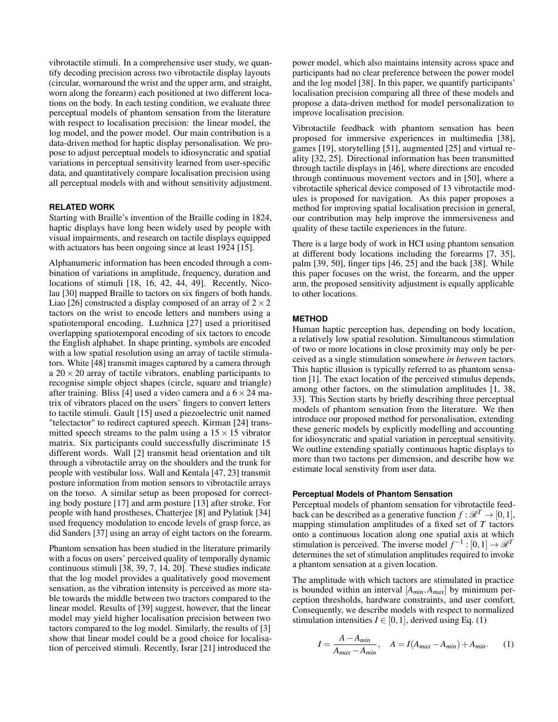vibrotactile stimuli. In a comprehensive user study, we quantify decoding precision across two vibrotactile display layouts (circular, wornaround the wrist and the upper arm, and straight, worn along the forearm) each positioned at two different locations on the body. In each testing condition, we evaluate three perceptual models of phantom sensation from the literature with respect to localisation precision: the linear model, the log model, and the power model. Our main contribution is a data-driven method for haptic display personalisation. We propose to adjust perceptual models to idiosyncratic and spatial variations in perceptual sensitivity learned from user-specific data, and quantitatively compare localisation precision using all perceptual models with and without sensitivity adjustment.

## **RELATED WORK**

Starting with Braille's invention of the Braille coding in 1824, haptic displays have long been widely used by people with visual impairments, and research on tactile displays equipped with actuators has been ongoing since at least 1924 [\[15\]](#page-8-16).

Alphanumeric information has been encoded through a combination of variations in amplitude, frequency, duration and locations of stimuli [\[18,](#page-8-33) [16,](#page-8-13) [42,](#page-8-26) [44,](#page-8-27) [49\]](#page-8-15). Recently, Nicolau [\[30\]](#page-8-14) mapped Braille to tactors on six fingers of both hands. Liao [\[26\]](#page-8-34) constructed a display composed of an array of  $2 \times 2$ tactors on the wrist to encode letters and numbers using a spatiotemporal encoding. Luzhnica [\[27\]](#page-8-23) used a prioritised overlapping spatiotemporal encoding of six tactors to encode the English alphabet. In shape printing, symbols are encoded with a low spatial resolution using an array of tactile stimulators. White [\[48\]](#page-8-24) transmit images captured by a camera through a  $20 \times 20$  array of tactile vibrators, enabling participants to recognise simple object shapes (circle, square and triangle) after training. Bliss [\[4\]](#page-7-0) used a video camera and a  $6 \times 24$  matrix of vibrators placed on the users' fingers to convert letters to tactile stimuli. Gault [\[15\]](#page-8-16) used a piezoelectric unit named "telectactor" to redirect captured speech. Kirman [\[24\]](#page-8-17) transmitted speech streams to the palm using a  $15 \times 15$  vibrator matrix. Six participants could successfully discriminate 15 different words. Wall [\[2\]](#page-7-1) transmit head orientation and tilt through a vibrotactile array on the shoulders and the trunk for people with vestibular loss. Wall and Kentala [\[47,](#page-8-19) [23\]](#page-8-18) transmit posture information from motion sensors to vibrotactile arrays on the torso. A similar setup as been proposed for correcting body posture [\[17\]](#page-8-21) and arm posture [\[13\]](#page-8-20) after stroke. For people with hand prostheses, Chatterjee [\[8\]](#page-8-28) and Pylatiuk [\[34\]](#page-8-35) used frequency modulation to encode levels of grasp force, as did Sanders [\[37\]](#page-8-36) using an array of eight tactors on the forearm.

Phantom sensation has been studied in the literature primarily with a focus on users' perceived quality of temporally dynamic continuous stimuli [\[38,](#page-8-4) [39,](#page-8-32) [7,](#page-8-30) [14,](#page-8-37) [20\]](#page-8-38). These studies indicate that the log model provides a qualitatively good movement sensation, as the vibration intensity is perceived as more stable towards the middle between two tractors compared to the linear model. Results of [\[39\]](#page-8-32) suggest, however, that the linear model may yield higher localisation precision between two tactors compared to the log model. Similarly, the results of [\[3\]](#page-7-3) show that linear model could be a good choice for localisation of perceived stimuli. Recently, Israr [\[21\]](#page-8-31) introduced the

power model, which also maintains intensity across space and participants had no clear preference between the power model and the log model [\[38\]](#page-8-4). In this paper, we quantify participants' localisation precision comparing all three of these models and propose a data-driven method for model personalization to improve localisation precision.

Vibrotactile feedback with phantom sensation has been proposed for immersive experiences in multimedia [\[38\]](#page-8-4), games [\[19\]](#page-8-3), storytelling [\[51\]](#page-8-39), augmented [\[25\]](#page-8-0) and virtual reality [\[32,](#page-8-1) [25\]](#page-8-0). Directional information has been transmitted through tactile displays in [\[46\]](#page-8-40), where directions are encoded through continuous movement vectors and in [\[50\]](#page-8-5), where a vibrotactile spherical device composed of 13 vibrotactile modules is proposed for navigation. As this paper proposes a method for improving spatial localisation precision in general, our contribution may help improve the immersiveness and quality of these tactile experiences in the future.

There is a large body of work in HCI using phantom sensation at different body locations including the forearms [\[7,](#page-8-30) [35\]](#page-8-41), palm [\[39,](#page-8-32) [50\]](#page-8-5), finger tips [\[46,](#page-8-40) [25\]](#page-8-0) and the back [\[38\]](#page-8-4). While this paper focuses on the wrist, the forearm, and the upper arm, the proposed sensitivity adjustment is equally applicable to other locations.

## **METHOD**

Human haptic perception has, depending on body location, a relatively low spatial resolution. Simultaneous stimulation of two or more locations in close proximity may only be perceived as a single stimulation somewhere *in between* tactors. This haptic illusion is typically referred to as phantom sensation [\[1\]](#page-7-2). The exact location of the perceived stimulus depends, among other factors, on the stimulation amplitudes [\[1,](#page-7-2) [38,](#page-8-4) [33\]](#page-8-42). This Section starts by briefly describing three perceptual models of phantom sensation from the literature. We then introduce our proposed method for personalisation, extending these generic models by explicitly modelling and accounting for idiosyncratic and spatial variation in perceptual sensitivity. We outline extending spatially continuous haptic displays to more than two tactons per dimension, and describe how we estimate local senstivity from user data.

## **Perceptual Models of Phantom Sensation**

Perceptual models of phantom sensation for vibrotactile feedback can be described as a generative function  $f : \mathcal{R}^T \to [0,1],$ mapping stimulation amplitudes of a fixed set of *T* tactors onto a continuous location along one spatial axis at which stimulation is perceived. The inverse model  $f^{-1}$  :  $[0,1] \rightarrow \mathcal{R}^T$ determines the set of stimulation amplitudes required to invoke a phantom sensation at a given location.

The amplitude with which tactors are stimulated in practice is bounded within an interval [*Amin*,*Amax*] by minimum perception thresholds, hardware constraints, and user comfort. Consequently, we describe models with respect to normalized stimulation intensities  $I \in [0,1]$ , derived using Eq. [\(1\)](#page-2-0)

<span id="page-2-0"></span>
$$
I = \frac{A - A_{min}}{A_{max} - A_{min}}, \quad A = I(A_{max} - A_{min}) + A_{min}.
$$
 (1)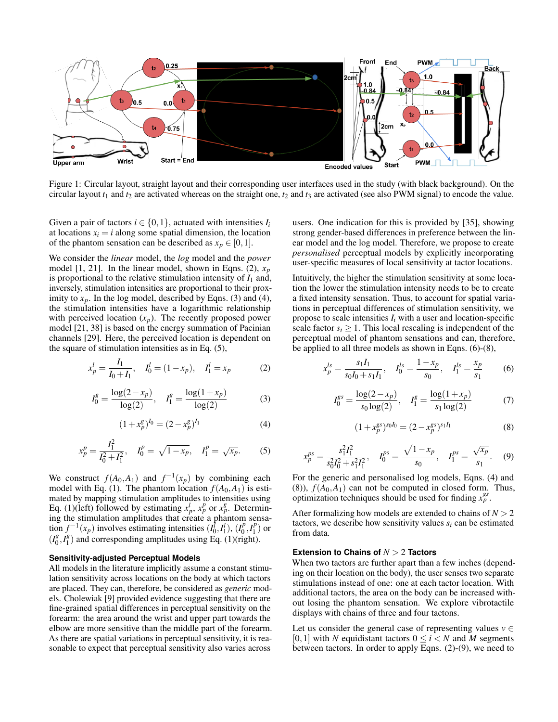<span id="page-3-7"></span>

Figure 1: Circular layout, straight layout and their corresponding user interfaces used in the study (with black background). On the circular layout  $t_1$  and  $t_2$  are activated whereas on the straight one,  $t_2$  and  $t_3$  are activated (see also PWM signal) to encode the value.

Given a pair of tactors  $i \in \{0,1\}$ , actuated with intensities  $I_i$ at locations  $x_i = i$  along some spatial dimension, the location of the phantom sensation can be described as  $x_p \in [0,1]$ .

We consider the *linear* model, the *log* model and the *power* model [\[1,](#page-7-2) [21\]](#page-8-31). In the linear model, shown in Eqns. [\(2\)](#page-3-0),  $x_p$ is proportional to the relative stimulation intensity of  $I_1$  and, inversely, stimulation intensities are proportional to their proximity to  $x_p$ . In the log model, described by Eqns. [\(3\)](#page-3-1) and [\(4\)](#page-3-2), the stimulation intensities have a logarithmic relationship with perceived location  $(x_p)$ . The recently proposed power model [\[21,](#page-8-31) [38\]](#page-8-4) is based on the energy summation of Pacinian channels [\[29\]](#page-8-43). Here, the perceived location is dependent on the square of stimulation intensities as in Eq. [\(5\)](#page-3-3),

<span id="page-3-0"></span>
$$
x_p^l = \frac{I_1}{I_0 + I_1}, \quad I_0^l = (1 - x_p), \quad I_1^l = x_p \tag{2}
$$

<span id="page-3-1"></span>
$$
I_0^g = \frac{\log(2 - x_p)}{\log(2)}, \quad I_1^g = \frac{\log(1 + x_p)}{\log(2)}\tag{3}
$$

<span id="page-3-2"></span>
$$
(1 + x_p^g)^{I_0} = (2 - x_p^g)^{I_1}
$$
 (4)

<span id="page-3-3"></span>
$$
x_p^p = \frac{I_1^2}{I_0^2 + I_1^2}, \quad I_0^p = \sqrt{1 - x_p}, \quad I_1^p = \sqrt{x_p}.\tag{5}
$$

We construct  $f(A_0, A_1)$  and  $f^{-1}(x_p)$  by combining each model with Eq. [\(1\)](#page-2-0). The phantom location  $f(A_0, A_1)$  is estimated by mapping stimulation amplitudes to intensities using Eq. [\(1\)](#page-2-0)(left) followed by estimating  $x_p^l$ ,  $x_p^p$  or  $x_p^g$ . Determining the stimulation amplitudes that create a phantom sensation  $f^{-1}(x_p)$  involves estimating intensities  $(I_0^{\dagger}, I_1^{\dagger})$ ,  $(I_0^p)$  $I_0^p, I_1^p$  $\binom{p}{1}$  or  $(I_0^g)$  $a_0^g, I_1^g$  $\binom{8}{1}$  and corresponding amplitudes using Eq. [\(1\)](#page-2-0)(right).

#### **Sensitivity-adjusted Perceptual Models**

All models in the literature implicitly assume a constant stimulation sensitivity across locations on the body at which tactors are placed. They can, therefore, be considered as *generic* models. Cholewiak [\[9\]](#page-8-44) provided evidence suggesting that there are fine-grained spatial differences in perceptual sensitivity on the forearm: the area around the wrist and upper part towards the elbow are more sensitive than the middle part of the forearm. As there are spatial variations in perceptual sensitivity, it is reasonable to expect that perceptual sensitivity also varies across

users. One indication for this is provided by [\[35\]](#page-8-41), showing strong gender-based differences in preference between the linear model and the log model. Therefore, we propose to create *personalised* perceptual models by explicitly incorporating user-specific measures of local sensitivity at tactor locations.

Intuitively, the higher the stimulation sensitivity at some location the lower the stimulation intensity needs to be to create a fixed intensity sensation. Thus, to account for spatial variations in perceptual differences of stimulation sensitivity, we propose to scale intensities  $I_i$  with a user and location-specific scale factor  $s_i \geq 1$ . This local rescaling is independent of the perceptual model of phantom sensations and can, therefore, be applied to all three models as shown in Eqns. [\(6\)](#page-3-4)-[\(8\)](#page-3-5),

<span id="page-3-4"></span>
$$
x_p^{ls} = \frac{s_1 I_1}{s_0 I_0 + s_1 I_1}, \quad I_0^{ls} = \frac{1 - x_p}{s_0}, \quad I_1^{ls} = \frac{x_p}{s_1}
$$
(6)

<span id="page-3-8"></span>
$$
I_0^{gs} = \frac{\log(2 - x_p)}{s_0 \log(2)}, \quad I_1^g = \frac{\log(1 + x_p)}{s_1 \log(2)}\tag{7}
$$

<span id="page-3-5"></span>
$$
(1 + x_p^{gs})^{s_0 I_0} = (2 - x_p^{gs})^{s_1 I_1}
$$
 (8)

<span id="page-3-6"></span>
$$
x_p^{ps} = \frac{s_1^2 I_1^2}{s_0^2 I_0^2 + s_1^2 I_1^2}, \quad I_0^{ps} = \frac{\sqrt{1 - x_p}}{s_0}, \quad I_1^{ps} = \frac{\sqrt{x_p}}{s_1}.
$$
 (9)

For the generic and personalised log models, Eqns. [\(4\)](#page-3-2) and  $(8)$ ),  $f(A_0, A_1)$  can not be computed in closed form. Thus, optimization techniques should be used for finding  $x_p^{gs}$ .

After formalizing how models are extended to chains of *N* > 2 tactors, we describe how sensitivity values  $s_i$  can be estimated from data.

## **Extension to Chains of** *N* > 2 **Tactors**

When two tactors are further apart than a few inches (depending on their location on the body), the user senses two separate stimulations instead of one: one at each tactor location. With additional tactors, the area on the body can be increased without losing the phantom sensation. We explore vibrotactile displays with chains of three and four tactons.

Let us consider the general case of representing values  $v \in$ [0,1] with *N* equidistant tactors  $0 \le i \le N$  and *M* segments between tactors. In order to apply Eqns. [\(2\)](#page-3-0)-[\(9\)](#page-3-6), we need to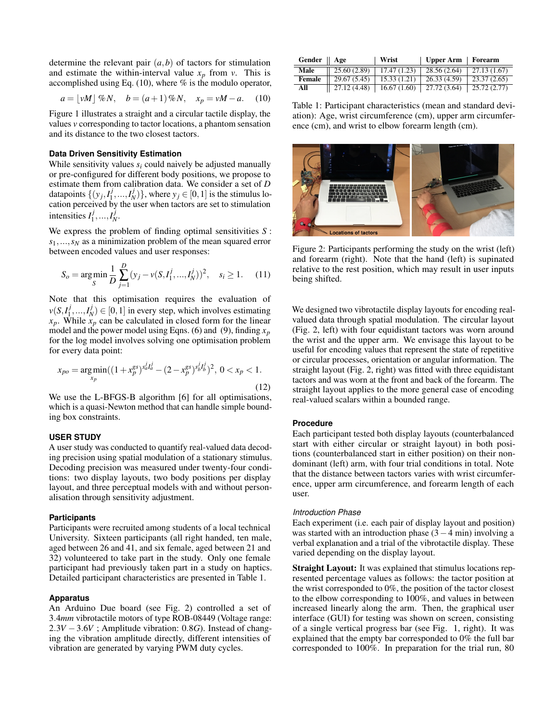determine the relevant pair  $(a,b)$  of tactors for stimulation and estimate the within-interval value  $x_p$  from *v*. This is accomplished using Eq.  $(10)$ , where % is the modulo operator,

<span id="page-4-0"></span>
$$
a = \lfloor vM \rfloor \%
$$
N,  $b = (a+1) \%$ N,  $x_p = vM - a$ . (10)

Figure [1](#page-3-7) illustrates a straight and a circular tactile display, the values *v* corresponding to tactor locations, a phantom sensation and its distance to the two closest tactors.

#### **Data Driven Sensitivity Estimation**

While sensitivity values  $s_i$  could naively be adjusted manually or pre-configured for different body positions, we propose to estimate them from calibration data. We consider a set of *D* datapoints  $\{(y_j, I_1^j)\}$  $\{1, \ldots, I_N^j\}$ , where  $y_j \in [0, 1]$  is the stimulus location perceived by the user when tactors are set to stimulation intensities  $I_1^j$  $I_1^j, ..., I_N^j.$ 

We express the problem of finding optimal sensitivities *S* : *s*1,...,*s<sup>N</sup>* as a minimization problem of the mean squared error between encoded values and user responses:

$$
S_o = \underset{S}{\text{arg min}} \frac{1}{D} \sum_{j=1}^{D} (y_j - v(S, I_1^j, ..., I_N^j))^2, \quad s_i \ge 1. \tag{11}
$$

Note that this optimisation requires the evaluation of  $\nu(S, I_1^j)$  $\{I_1^j, ..., I_N^j\} \in [0,1]$  in every step, which involves estimating *xp*. While *x<sup>p</sup>* can be calculated in closed form for the linear model and the power model using Eqns. [\(6\)](#page-3-4) and [\(9\)](#page-3-6), finding *x<sup>p</sup>* for the log model involves solving one optimisation problem for every data point:

$$
x_{po} = \underset{x_p}{\arg\min}((1 + x_p^{gs})^{s_d^j I_d^j} - (2 - x_p^{gs})^{s_b^j I_b^j})^2, \ 0 < x_p < 1. \tag{12}
$$

We use the L-BFGS-B algorithm [\[6\]](#page-8-45) for all optimisations, which is a quasi-Newton method that can handle simple bounding box constraints.

# **USER STUDY**

A user study was conducted to quantify real-valued data decoding precision using spatial modulation of a stationary stimulus. Decoding precision was measured under twenty-four conditions: two display layouts, two body positions per display layout, and three perceptual models with and without personalisation through sensitivity adjustment.

#### **Participants**

Participants were recruited among students of a local technical University. Sixteen participants (all right handed, ten male, aged between 26 and 41, and six female, aged between 21 and 32) volunteered to take part in the study. Only one female participant had previously taken part in a study on haptics. Detailed participant characteristics are presented in Table [1.](#page-4-1)

### **Apparatus**

An Arduino Due board (see Fig. [2\)](#page-4-2) controlled a set of 3.4*mm* vibrotactile motors of type ROB-08449 (Voltage range: 2.3*V* −3.6*V* ; Amplitude vibration: 0.8*G*). Instead of changing the vibration amplitude directly, different intensities of vibration are generated by varying PWM duty cycles.

<span id="page-4-1"></span>

| Gender    Age |              | Wrist       | Upper Arm    | Forearm      |
|---------------|--------------|-------------|--------------|--------------|
| Male          | 25.60 (2.89) | 17.47(1.23) | 28.56 (2.64) | 27.13 (1.67) |
| Female        | 29.67 (5.45) | 15.33(1.21) | 26.33 (4.59) | 23.37(2.65)  |
| All           | 27.12 (4.48) | 16.67(1.60) | 27.72 (3.64) | 25.72 (2.77) |

Table 1: Participant characteristics (mean and standard deviation): Age, wrist circumference (cm), upper arm circumference (cm), and wrist to elbow forearm length (cm).

<span id="page-4-2"></span>

Figure 2: Participants performing the study on the wrist (left) and forearm (right). Note that the hand (left) is supinated relative to the rest position, which may result in user inputs being shifted.

We designed two vibrotactile display layouts for encoding realvalued data through spatial modulation. The circular layout (Fig. [2,](#page-4-2) left) with four equidistant tactors was worn around the wrist and the upper arm. We envisage this layout to be useful for encoding values that represent the state of repetitive or circular processes, orientation or angular information. The straight layout (Fig. [2,](#page-4-2) right) was fitted with three equidistant tactors and was worn at the front and back of the forearm. The straight layout applies to the more general case of encoding real-valued scalars within a bounded range.

## **Procedure**

Each participant tested both display layouts (counterbalanced start with either circular or straight layout) in both positions (counterbalanced start in either position) on their nondominant (left) arm, with four trial conditions in total. Note that the distance between tactors varies with wrist circumference, upper arm circumference, and forearm length of each user.

## *Introduction Phase*

Each experiment (i.e. each pair of display layout and position) was started with an introduction phase  $(3-4 \text{ min})$  involving a verbal explanation and a trial of the vibrotactile display. These varied depending on the display layout.

Straight Layout: It was explained that stimulus locations represented percentage values as follows: the tactor position at the wrist corresponded to 0%, the position of the tactor closest to the elbow corresponding to 100%, and values in between increased linearly along the arm. Then, the graphical user interface (GUI) for testing was shown on screen, consisting of a single vertical progress bar (see Fig. [1,](#page-3-7) right). It was explained that the empty bar corresponded to 0% the full bar corresponded to 100%. In preparation for the trial run, 80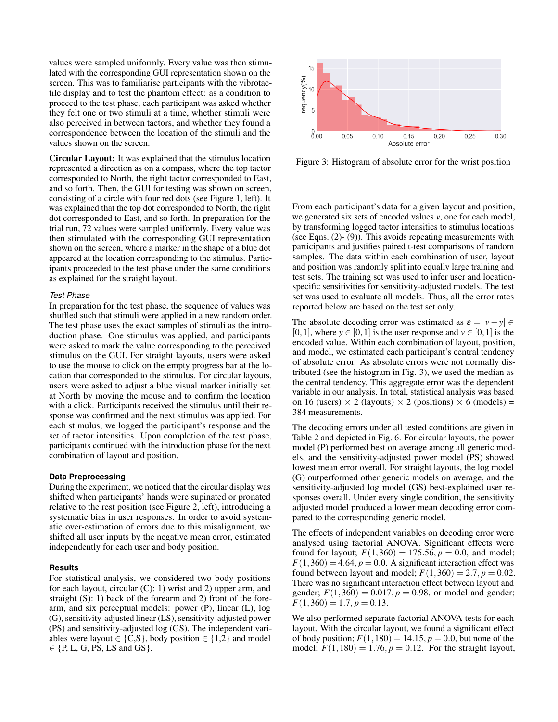values were sampled uniformly. Every value was then stimulated with the corresponding GUI representation shown on the screen. This was to familiarise participants with the vibrotactile display and to test the phantom effect: as a condition to proceed to the test phase, each participant was asked whether they felt one or two stimuli at a time, whether stimuli were also perceived in between tactors, and whether they found a correspondence between the location of the stimuli and the values shown on the screen.

Circular Layout: It was explained that the stimulus location represented a direction as on a compass, where the top tactor corresponded to North, the right tactor corresponded to East, and so forth. Then, the GUI for testing was shown on screen, consisting of a circle with four red dots (see Figure [1,](#page-3-7) left). It was explained that the top dot corresponded to North, the right dot corresponded to East, and so forth. In preparation for the trial run, 72 values were sampled uniformly. Every value was then stimulated with the corresponding GUI representation shown on the screen, where a marker in the shape of a blue dot appeared at the location corresponding to the stimulus. Participants proceeded to the test phase under the same conditions as explained for the straight layout.

## *Test Phase*

In preparation for the test phase, the sequence of values was shuffled such that stimuli were applied in a new random order. The test phase uses the exact samples of stimuli as the introduction phase. One stimulus was applied, and participants were asked to mark the value corresponding to the perceived stimulus on the GUI. For straight layouts, users were asked to use the mouse to click on the empty progress bar at the location that corresponded to the stimulus. For circular layouts, users were asked to adjust a blue visual marker initially set at North by moving the mouse and to confirm the location with a click. Participants received the stimulus until their response was confirmed and the next stimulus was applied. For each stimulus, we logged the participant's response and the set of tactor intensities. Upon completion of the test phase, participants continued with the introduction phase for the next combination of layout and position.

# **Data Preprocessing**

During the experiment, we noticed that the circular display was shifted when participants' hands were supinated or pronated relative to the rest position (see Figure [2,](#page-4-2) left), introducing a systematic bias in user responses. In order to avoid systematic over-estimation of errors due to this misalignment, we shifted all user inputs by the negative mean error, estimated independently for each user and body position.

## **Results**

For statistical analysis, we considered two body positions for each layout, circular  $(C)$ : 1) wrist and 2) upper arm, and straight  $(S)$ : 1) back of the forearm and 2) front of the forearm, and six perceptual models: power (P), linear (L), log (G), sensitivity-adjusted linear (LS), sensitivity-adjusted power (PS) and sensitivity-adjusted log (GS). The independent variables were layout ∈ {C,S}, body position ∈ {1,2} and model  $\in$  {P, L, G, PS, LS and GS}.

<span id="page-5-0"></span>

Figure 3: Histogram of absolute error for the wrist position

From each participant's data for a given layout and position, we generated six sets of encoded values *v*, one for each model, by transforming logged tactor intensities to stimulus locations (see Eqns. [\(2\)](#page-3-0)- [\(9\)](#page-3-6)). This avoids repeating measurements with participants and justifies paired t-test comparisons of random samples. The data within each combination of user, layout and position was randomly split into equally large training and test sets. The training set was used to infer user and locationspecific sensitivities for sensitivity-adjusted models. The test set was used to evaluate all models. Thus, all the error rates reported below are based on the test set only.

The absolute decoding error was estimated as  $\varepsilon = |v - v| \in$ [0, 1], where  $y \in [0, 1]$  is the user response and  $y \in [0, 1]$  is the encoded value. Within each combination of layout, position, and model, we estimated each participant's central tendency of absolute error. As absolute errors were not normally distributed (see the histogram in Fig. [3\)](#page-5-0), we used the median as the central tendency. This aggregate error was the dependent variable in our analysis. In total, statistical analysis was based on 16 (users)  $\times$  2 (layouts)  $\times$  2 (positions)  $\times$  6 (models) = 384 measurements.

The decoding errors under all tested conditions are given in Table [2](#page-6-0) and depicted in Fig. [6.](#page-7-4) For circular layouts, the power model (P) performed best on average among all generic models, and the sensitivity-adjusted power model (PS) showed lowest mean error overall. For straight layouts, the log model (G) outperformed other generic models on average, and the sensitivity-adjusted log model (GS) best-explained user responses overall. Under every single condition, the sensitivity adjusted model produced a lower mean decoding error compared to the corresponding generic model.

The effects of independent variables on decoding error were analysed using factorial ANOVA. Significant effects were found for layout;  $F(1,360) = 175.56, p = 0.0$ , and model;  $F(1,360) = 4.64, p = 0.0$ . A significant interaction effect was found between layout and model;  $F(1,360) = 2.7, p = 0.02$ . There was no significant interaction effect between layout and gender;  $F(1,360) = 0.017$ ,  $p = 0.98$ , or model and gender;  $F(1,360) = 1.7, p = 0.13.$ 

We also performed separate factorial ANOVA tests for each layout. With the circular layout, we found a significant effect of body position;  $F(1,180) = 14.15$ ,  $p = 0.0$ , but none of the model;  $F(1,180) = 1.76, p = 0.12$ . For the straight layout,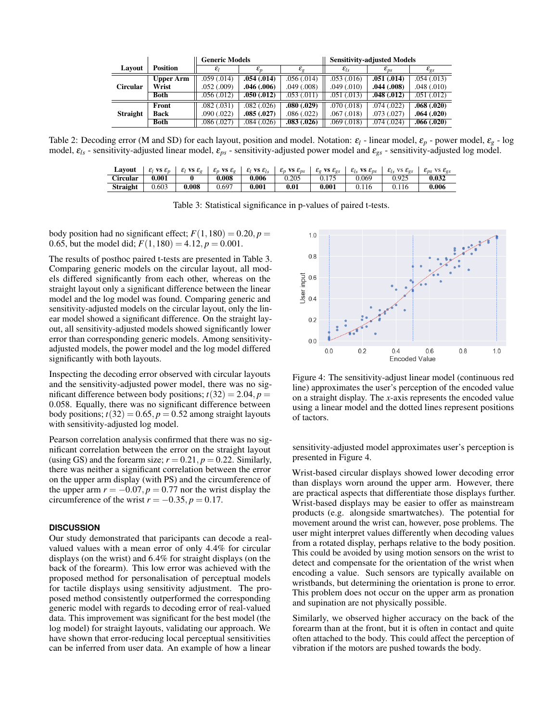<span id="page-6-0"></span>

|                 |                  | <b>Generic Models</b> |                 |                   | <b>Sensitivity-adjusted Models</b> |                    |                    |  |
|-----------------|------------------|-----------------------|-----------------|-------------------|------------------------------------|--------------------|--------------------|--|
| Lavout          | <b>Position</b>  | $\varepsilon$         | $\varepsilon_n$ | $\varepsilon_{g}$ | $\varepsilon_{ls}$                 | $\varepsilon_{ps}$ | $\varepsilon_{gs}$ |  |
| <b>Circular</b> | <b>Upper Arm</b> | .059(.014)            | .054(.014)      | .056(.014)        | .053(.016)                         | .051(.014)         | .054(.013)         |  |
|                 | Wrist            | .052(.009)            | .046(.006)      | .049(.008)        | $.049 \,(.010)$                    | $.044 \,(.008)$    | .048(.010)         |  |
|                 | <b>Both</b>      | .056(.012)            | .050(.012)      | .053(.011)        | $.051 \,(.013)$                    | .048(.012)         | .051(.012)         |  |
| <b>Straight</b> | Front            | .082(.031)            | .082(.026)      | .080(.029)        | .070 (.018)                        | .074(0.022)        | .068(.020)         |  |
|                 | <b>Back</b>      | .090(.022)            | .085(.027)      | .086(.022)        | .067(0.018)                        | .073(.027)         | .064(.020)         |  |
|                 | <b>Both</b>      | .086(.027)            | .084(.026)      | .083(.026)        | .069(.018)                         | .074(.024)         | .066(.020)         |  |

<span id="page-6-1"></span>Table 2: Decoding error (M and SD) for each layout, position and model. Notation:  $\varepsilon_l$  - linear model,  $\varepsilon_p$  - power model,  $\varepsilon_g$  - log model, ε*ls* - sensitivity-adjusted linear model, ε*ps* - sensitivity-adjusted power model and ε*gs* - sensitivity-adjusted log model.

| Lavout          | $\mathcal{E}_l$ VS $\mathcal{E}_n$ | $\mathcal{E}_l$ VS $\mathcal{E}_o$ | $\varepsilon_p$ vs $\varepsilon_q$ | $\mathcal{E}_l$ VS $\mathcal{E}_{l_s}$ | $\varepsilon_n$ vs $\varepsilon_{ns}$ | $\mathcal{E}_{\varphi}$ VS $\mathcal{E}_{\varphi S}$ | $\mathcal{E}_{ls}$ vs $\mathcal{E}_{ps}$ | $\varepsilon_{ls}$<br>VS $\mathcal{E}_{\sigma s}$ | VS $\mathcal{E}_{\alpha s}$<br>$c_{DS}$ |
|-----------------|------------------------------------|------------------------------------|------------------------------------|----------------------------------------|---------------------------------------|------------------------------------------------------|------------------------------------------|---------------------------------------------------|-----------------------------------------|
| Circular        | 0.001                              |                                    | 0.008                              | 0.006                                  | 0.205                                 |                                                      | 0.069                                    | 0.925                                             | 0.032                                   |
| <b>Straight</b> | 0.603                              | 0.008                              | 0.697                              | 0.001                                  | 0.01                                  | 0.001                                                | 0.116                                    | 0.116                                             | 0.006                                   |

Table 3: Statistical significance in p-values of paired t-tests.

body position had no significant effect;  $F(1,180) = 0.20, p =$ 0.65, but the model did;  $F(1,180) = 4.12, p = 0.001$ .

The results of posthoc paired t-tests are presented in Table [3.](#page-6-1) Comparing generic models on the circular layout, all models differed significantly from each other, whereas on the straight layout only a significant difference between the linear model and the log model was found. Comparing generic and sensitivity-adjusted models on the circular layout, only the linear model showed a significant difference. On the straight layout, all sensitivity-adjusted models showed significantly lower error than corresponding generic models. Among sensitivityadjusted models, the power model and the log model differed significantly with both layouts.

Inspecting the decoding error observed with circular layouts and the sensitivity-adjusted power model, there was no significant difference between body positions;  $t(32) = 2.04$ ,  $p =$ 0.058. Equally, there was no significant difference between body positions;  $t(32) = 0.65$ ,  $p = 0.52$  among straight layouts with sensitivity-adjusted log model.

Pearson correlation analysis confirmed that there was no significant correlation between the error on the straight layout (using GS) and the forearm size;  $r = 0.21$ ,  $p = 0.22$ . Similarly, there was neither a significant correlation between the error on the upper arm display (with PS) and the circumference of the upper arm  $r = -0.07$ ,  $p = 0.77$  nor the wrist display the circumference of the wrist  $r = -0.35, p = 0.17$ .

# **DISCUSSION**

Our study demonstrated that paricipants can decode a realvalued values with a mean error of only 4.4% for circular displays (on the wrist) and 6.4% for straight displays (on the back of the forearm). This low error was achieved with the proposed method for personalisation of perceptual models for tactile displays using sensitivity adjustment. The proposed method consistently outperformed the corresponding generic model with regards to decoding error of real-valued data. This improvement was significant for the best model (the log model) for straight layouts, validating our approach. We have shown that error-reducing local perceptual sensitivities can be inferred from user data. An example of how a linear

<span id="page-6-2"></span>

Figure 4: The sensitivity-adjust linear model (continuous red line) approximates the user's perception of the encoded value on a straight display. The *x*-axis represents the encoded value using a linear model and the dotted lines represent positions of tactors.

sensitivity-adjusted model approximates user's perception is presented in Figure [4.](#page-6-2)

Wrist-based circular displays showed lower decoding error than displays worn around the upper arm. However, there are practical aspects that differentiate those displays further. Wrist-based displays may be easier to offer as mainstream products (e.g. alongside smartwatches). The potential for movement around the wrist can, however, pose problems. The user might interpret values differently when decoding values from a rotated display, perhaps relative to the body position. This could be avoided by using motion sensors on the wrist to detect and compensate for the orientation of the wrist when encoding a value. Such sensors are typically available on wristbands, but determining the orientation is prone to error. This problem does not occur on the upper arm as pronation and supination are not physically possible.

Similarly, we observed higher accuracy on the back of the forearm than at the front, but it is often in contact and quite often attached to the body. This could affect the perception of vibration if the motors are pushed towards the body.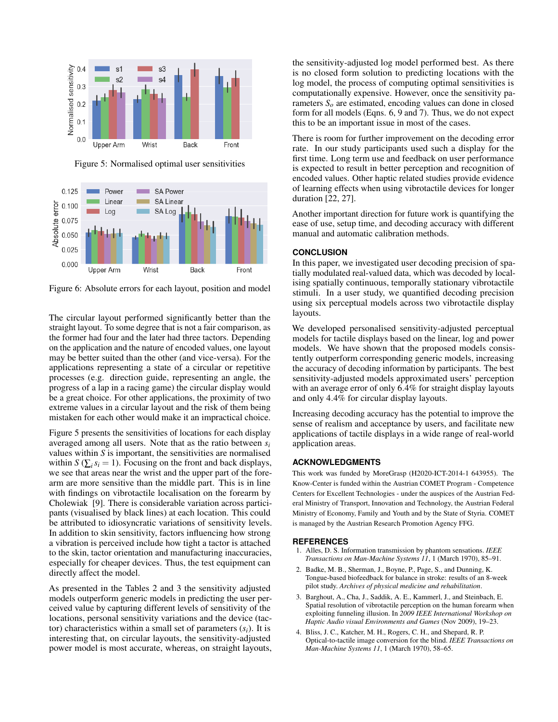<span id="page-7-5"></span>

Figure 5: Normalised optimal user sensitivities

<span id="page-7-4"></span>

Figure 6: Absolute errors for each layout, position and model

The circular layout performed significantly better than the straight layout. To some degree that is not a fair comparison, as the former had four and the later had three tactors. Depending on the application and the nature of encoded values, one layout may be better suited than the other (and vice-versa). For the applications representing a state of a circular or repetitive processes (e.g. direction guide, representing an angle, the progress of a lap in a racing game) the circular display would be a great choice. For other applications, the proximity of two extreme values in a circular layout and the risk of them being mistaken for each other would make it an impractical choice.

Figure [5](#page-7-5) presents the sensitivities of locations for each display averaged among all users. Note that as the ratio between *s<sup>i</sup>* values within *S* is important, the sensitivities are normalised within *S* ( $\sum_i s_i = 1$ ). Focusing on the front and back displays, we see that areas near the wrist and the upper part of the forearm are more sensitive than the middle part. This is in line with findings on vibrotactile localisation on the forearm by Cholewiak [\[9\]](#page-8-44). There is considerable variation across participants (visualised by black lines) at each location. This could be attributed to idiosyncratic variations of sensitivity levels. In addition to skin sensitivity, factors influencing how strong a vibration is perceived include how tight a tactor is attached to the skin, tactor orientation and manufacturing inaccuracies, especially for cheaper devices. Thus, the test equipment can directly affect the model.

As presented in the Tables [2](#page-6-0) and [3](#page-6-1) the sensitivity adjusted models outperform generic models in predicting the user perceived value by capturing different levels of sensitivity of the locations, personal sensitivity variations and the device (tactor) characteristics within a small set of parameters  $(s_i)$ . It is interesting that, on circular layouts, the sensitivity-adjusted power model is most accurate, whereas, on straight layouts,

the sensitivity-adjusted log model performed best. As there is no closed form solution to predicting locations with the log model, the process of computing optimal sensitivities is computationally expensive. However, once the sensitivity parameters  $S<sub>o</sub>$  are estimated, encoding values can done in closed form for all models (Eqns. [6,](#page-3-4) [9](#page-3-6) and [7\)](#page-3-8). Thus, we do not expect this to be an important issue in most of the cases.

There is room for further improvement on the decoding error rate. In our study participants used such a display for the first time. Long term use and feedback on user performance is expected to result in better perception and recognition of encoded values. Other haptic related studies provide evidence of learning effects when using vibrotactile devices for longer duration [\[22,](#page-8-46) [27\]](#page-8-23).

Another important direction for future work is quantifying the ease of use, setup time, and decoding accuracy with different manual and automatic calibration methods.

## **CONCLUSION**

In this paper, we investigated user decoding precision of spatially modulated real-valued data, which was decoded by localising spatially continuous, temporally stationary vibrotactile stimuli. In a user study, we quantified decoding precision using six perceptual models across two vibrotactile display layouts.

We developed personalised sensitivity-adjusted perceptual models for tactile displays based on the linear, log and power models. We have shown that the proposed models consistently outperform corresponding generic models, increasing the accuracy of decoding information by participants. The best sensitivity-adjusted models approximated users' perception with an average error of only 6.4% for straight display layouts and only 4.4% for circular display layouts.

Increasing decoding accuracy has the potential to improve the sense of realism and acceptance by users, and facilitate new applications of tactile displays in a wide range of real-world application areas.

## **ACKNOWLEDGMENTS**

This work was funded by MoreGrasp (H2020-ICT-2014-1 643955). The Know-Center is funded within the Austrian COMET Program - Competence Centers for Excellent Technologies - under the auspices of the Austrian Federal Ministry of Transport, Innovation and Technology, the Austrian Federal Ministry of Economy, Family and Youth and by the State of Styria. COMET is managed by the Austrian Research Promotion Agency FFG.

#### **REFERENCES**

- <span id="page-7-2"></span>1. Alles, D. S. Information transmission by phantom sensations. *IEEE Transactions on Man-Machine Systems 11*, 1 (March 1970), 85–91.
- <span id="page-7-1"></span>2. Badke, M. B., Sherman, J., Boyne, P., Page, S., and Dunning, K. Tongue-based biofeedback for balance in stroke: results of an 8-week pilot study. *Archives of physical medicine and rehabilitation*.
- <span id="page-7-3"></span>3. Barghout, A., Cha, J., Saddik, A. E., Kammerl, J., and Steinbach, E. Spatial resolution of vibrotactile perception on the human forearm when exploiting funneling illusion. In *2009 IEEE International Workshop on Haptic Audio visual Environments and Games* (Nov 2009), 19–23.
- <span id="page-7-0"></span>4. Bliss, J. C., Katcher, M. H., Rogers, C. H., and Shepard, R. P. Optical-to-tactile image conversion for the blind. *IEEE Transactions on Man-Machine Systems 11*, 1 (March 1970), 58–65.